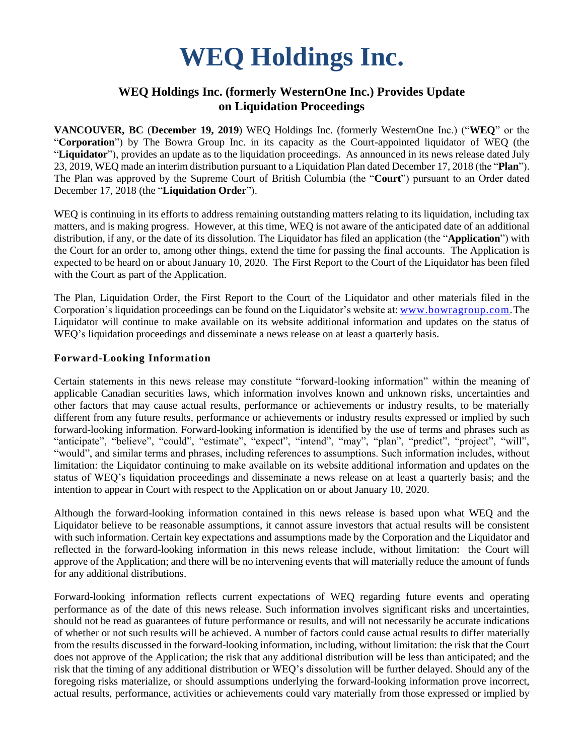# **WEQ Holdings Inc.**

## **WEQ Holdings Inc. (formerly WesternOne Inc.) Provides Update on Liquidation Proceedings**

**VANCOUVER, BC** (**December 19, 2019**) WEQ Holdings Inc. (formerly WesternOne Inc.) ("**WEQ**" or the "**Corporation**") by The Bowra Group Inc. in its capacity as the Court-appointed liquidator of WEQ (the "**Liquidator**"), provides an update as to the liquidation proceedings. As announced in its news release dated July 23, 2019, WEQ made an interim distribution pursuant to a Liquidation Plan dated December 17, 2018 (the "**Plan**"). The Plan was approved by the Supreme Court of British Columbia (the "**Court**") pursuant to an Order dated December 17, 2018 (the "**Liquidation Order**").

WEQ is continuing in its efforts to address remaining outstanding matters relating to its liquidation, including tax matters, and is making progress. However, at this time, WEQ is not aware of the anticipated date of an additional distribution, if any, or the date of its dissolution. The Liquidator has filed an application (the "**Application**") with the Court for an order to, among other things, extend the time for passing the final accounts. The Application is expected to be heard on or about January 10, 2020. The First Report to the Court of the Liquidator has been filed with the Court as part of the Application.

The Plan, Liquidation Order, the First Report to the Court of the Liquidator and other materials filed in the Corporation's liquidation proceedings can be found on the Liquidator's website at: [www.bowragroup.com.](http://www.bowragroup.com/)The Liquidator will continue to make available on its website additional information and updates on the status of WEQ's liquidation proceedings and disseminate a news release on at least a quarterly basis.

#### **Forward-Looking Information**

Certain statements in this news release may constitute "forward-looking information" within the meaning of applicable Canadian securities laws, which information involves known and unknown risks, uncertainties and other factors that may cause actual results, performance or achievements or industry results, to be materially different from any future results, performance or achievements or industry results expressed or implied by such forward-looking information. Forward-looking information is identified by the use of terms and phrases such as "anticipate", "believe", "could", "estimate", "expect", "intend", "may", "plan", "predict", "project", "will", "would", and similar terms and phrases, including references to assumptions. Such information includes, without limitation: the Liquidator continuing to make available on its website additional information and updates on the status of WEQ's liquidation proceedings and disseminate a news release on at least a quarterly basis; and the intention to appear in Court with respect to the Application on or about January 10, 2020.

Although the forward-looking information contained in this news release is based upon what WEQ and the Liquidator believe to be reasonable assumptions, it cannot assure investors that actual results will be consistent with such information. Certain key expectations and assumptions made by the Corporation and the Liquidator and reflected in the forward-looking information in this news release include, without limitation: the Court will approve of the Application; and there will be no intervening events that will materially reduce the amount of funds for any additional distributions.

Forward-looking information reflects current expectations of WEQ regarding future events and operating performance as of the date of this news release. Such information involves significant risks and uncertainties, should not be read as guarantees of future performance or results, and will not necessarily be accurate indications of whether or not such results will be achieved. A number of factors could cause actual results to differ materially from the results discussed in the forward-looking information, including, without limitation: the risk that the Court does not approve of the Application; the risk that any additional distribution will be less than anticipated; and the risk that the timing of any additional distribution or WEQ's dissolution will be further delayed. Should any of the foregoing risks materialize, or should assumptions underlying the forward-looking information prove incorrect, actual results, performance, activities or achievements could vary materially from those expressed or implied by